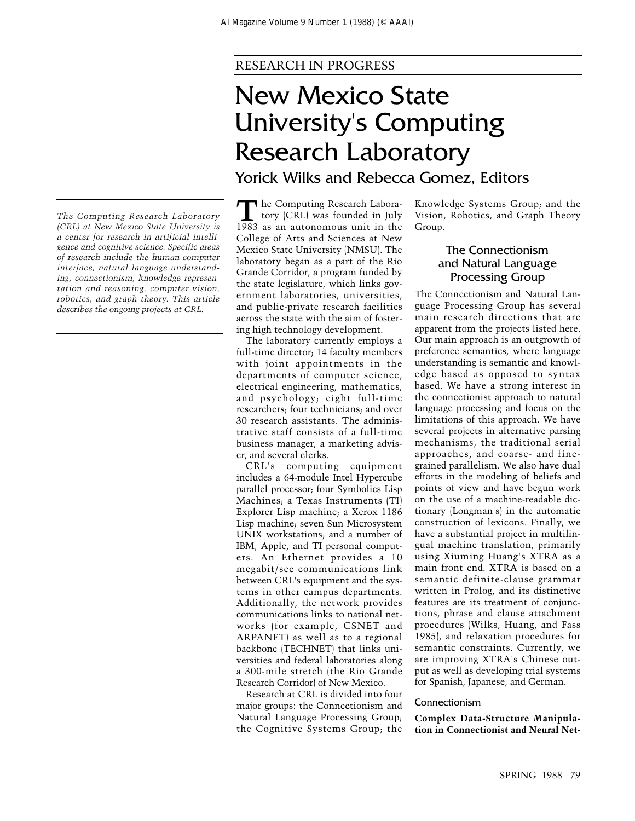# RESEARCH IN PROGRESS

# New Mexico State University's Computing Research Laboratory Yorick Wilks and Rebecca Gomez, Editors

he Computing Research Labora-<br>tory (CRL) was founded in July<br>1983 as an autonomous unit in the tory (CRL) was founded in July 1983 as an autonomous unit in the College of Arts and Sciences at New Mexico State University (NMSU). The laboratory began as a part of the Rio Grande Corridor, a program funded by the state legislature, which links government laboratories, universities, and public-private research facilities across the state with the aim of fostering high technology development.

The laboratory currently employs a full-time director; 14 faculty members with joint appointments in the departments of computer science, electrical engineering, mathematics, and psychology; eight full-time researchers; four technicians; and over 30 research assistants. The administrative staff consists of a full-time business manager, a marketing adviser, and several clerks.

CRL's computing equipment includes a 64-module Intel Hypercube parallel processor; four Symbolics Lisp Machines; a Texas Instruments (TI) Explorer Lisp machine; a Xerox 1186 Lisp machine; seven Sun Microsystem UNIX workstations; and a number of IBM, Apple, and TI personal computers. An Ethernet provides a 10 megabit/sec communications link between CRL's equipment and the systems in other campus departments. Additionally, the network provides communications links to national networks (for example, CSNET and ARPANET) as well as to a regional backbone (TECHNET) that links universities and federal laboratories along a 300-mile stretch (the Rio Grande Research Corridor) of New Mexico.

Research at CRL is divided into four major groups: the Connectionism and Natural Language Processing Group; the Cognitive Systems Group; the

Knowledge Systems Group; and the Vision, Robotics, and Graph Theory Group.

# The Connectionism and Natural Language Processing Group

The Connectionism and Natural Language Processing Group has several main research directions that are apparent from the projects listed here. Our main approach is an outgrowth of preference semantics, where language understanding is semantic and knowledge based as opposed to syntax based. We have a strong interest in the connectionist approach to natural language processing and focus on the limitations of this approach. We have several projects in alternative parsing mechanisms, the traditional serial approaches, and coarse- and finegrained parallelism. We also have dual efforts in the modeling of beliefs and points of view and have begun work on the use of a machine-readable dictionary (Longman's) in the automatic construction of lexicons. Finally, we have a substantial project in multilingual machine translation, primarily using Xiuming Huang's XTRA as a main front end. XTRA is based on a semantic definite-clause grammar written in Prolog, and its distinctive features are its treatment of conjunctions, phrase and clause attachment procedures (Wilks, Huang, and Fass 1985), and relaxation procedures for semantic constraints. Currently, we are improving XTRA's Chinese output as well as developing trial systems for Spanish, Japanese, and German.

# Connectionism

**Complex Data-Structure Manipulation in Connectionist and Neural Net-**

*The Computing Research Laboratory (CRL) at New Mexico State University is a center for research in artificial intelligence and cognitive science. Specific areas of research include the human-computer interface, natural language understanding, connectionism, knowledge representation and reasoning, computer vision, robotics, and graph theory. This article describes the ongoing projects at CRL.*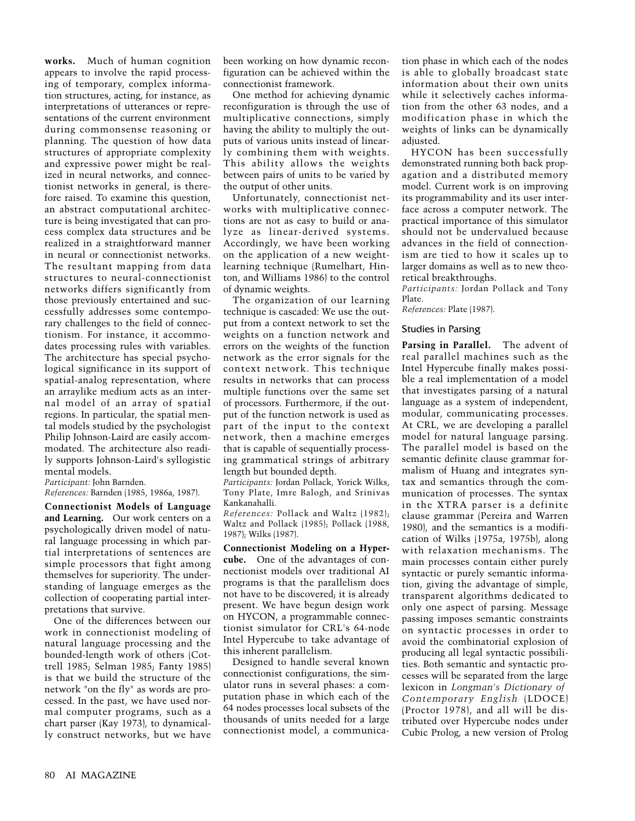**works.** Much of human cognition appears to involve the rapid processing of temporary, complex information structures, acting, for instance, as interpretations of utterances or representations of the current environment during commonsense reasoning or planning. The question of how data structures of appropriate complexity and expressive power might be realized in neural networks, and connectionist networks in general, is therefore raised. To examine this question, an abstract computational architecture is being investigated that can process complex data structures and be realized in a straightforward manner in neural or connectionist networks. The resultant mapping from data structures to neural-connectionist networks differs significantly from those previously entertained and successfully addresses some contemporary challenges to the field of connectionism. For instance, it accommodates processing rules with variables. The architecture has special psychological significance in its support of spatial-analog representation, where an arraylike medium acts as an internal model of an array of spatial regions. In particular, the spatial mental models studied by the psychologist Philip Johnson-Laird are easily accommodated. The architecture also readily supports Johnson-Laird's syllogistic mental models.

*Participant:* John Barnden.

*References:* Barnden (1985, 1986a, 1987).

**Connectionist Models of Language and Learning.** Our work centers on a psychologically driven model of natural language processing in which partial interpretations of sentences are simple processors that fight among themselves for superiority. The understanding of language emerges as the collection of cooperating partial interpretations that survive.

One of the differences between our work in connectionist modeling of natural language processing and the bounded-length work of others (Cottrell 1985; Selman 1985; Fanty 1985) is that we build the structure of the network "on the fly" as words are processed. In the past, we have used normal computer programs, such as a chart parser (Kay 1973), to dynamically construct networks, but we have been working on how dynamic reconfiguration can be achieved within the connectionist framework.

One method for achieving dynamic reconfiguration is through the use of multiplicative connections, simply having the ability to multiply the outputs of various units instead of linearly combining them with weights. This ability allows the weights between pairs of units to be varied by the output of other units.

Unfortunately, connectionist networks with multiplicative connections are not as easy to build or analyze as linear-derived systems. Accordingly, we have been working on the application of a new weightlearning technique (Rumelhart, Hinton, and Williams 1986) to the control of dynamic weights.

The organization of our learning technique is cascaded: We use the output from a context network to set the weights on a function network and errors on the weights of the function network as the error signals for the context network. This technique results in networks that can process multiple functions over the same set of processors. Furthermore, if the output of the function network is used as part of the input to the context network, then a machine emerges that is capable of sequentially processing grammatical strings of arbitrary length but bounded depth.

*Participants:* Jordan Pollack, Yorick Wilks, Tony Plate, Imre Balogh, and Srinivas Kankanahalli.

*References:* Pollack and Waltz (1982); Waltz and Pollack (1985); Pollack (1988, 1987); Wilks (1987).

**Connectionist Modeling on a Hypercube.** One of the advantages of connectionist models over traditional AI programs is that the parallelism does not have to be discovered; it is already present. We have begun design work on HYCON, a programmable connectionist simulator for CRL's 64-node Intel Hypercube to take advantage of this inherent parallelism.

Designed to handle several known connectionist configurations, the simulator runs in several phases: a computation phase in which each of the 64 nodes processes local subsets of the thousands of units needed for a large connectionist model, a communication phase in which each of the nodes is able to globally broadcast state information about their own units while it selectively caches information from the other 63 nodes, and a modification phase in which the weights of links can be dynamically adjusted.

HYCON has been successfully demonstrated running both back propagation and a distributed memory model. Current work is on improving its programmability and its user interface across a computer network. The practical importance of this simulator should not be undervalued because advances in the field of connectionism are tied to how it scales up to larger domains as well as to new theoretical breakthroughs.

*Participants:* Jordan Pollack and Tony Plate.

*References:* Plate (1987).

#### Studies in Parsing

**Parsing in Parallel.** The advent of real parallel machines such as the Intel Hypercube finally makes possible a real implementation of a model that investigates parsing of a natural language as a system of independent, modular, communicating processes. At CRL, we are developing a parallel model for natural language parsing. The parallel model is based on the semantic definite clause grammar formalism of Huang and integrates syntax and semantics through the communication of processes. The syntax in the XTRA parser is a definite clause grammar (Pereira and Warren 1980), and the semantics is a modification of Wilks (1975a, 1975b), along with relaxation mechanisms. The main processes contain either purely syntactic or purely semantic information, giving the advantage of simple, transparent algorithms dedicated to only one aspect of parsing. Message passing imposes semantic constraints on syntactic processes in order to avoid the combinatorial explosion of producing all legal syntactic possibilities. Both semantic and syntactic processes will be separated from the large lexicon in *Longman's Dictionary of Contemporary English* (LDOCE) (Proctor 1978), and all will be distributed over Hypercube nodes under Cubic Prolog, a new version of Prolog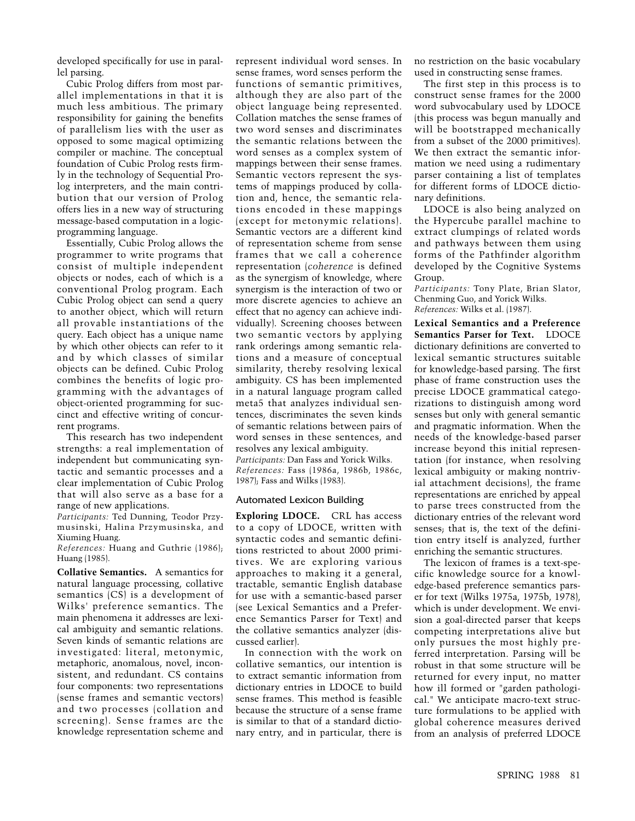developed specifically for use in parallel parsing.

Cubic Prolog differs from most parallel implementations in that it is much less ambitious. The primary responsibility for gaining the benefits of parallelism lies with the user as opposed to some magical optimizing compiler or machine. The conceptual foundation of Cubic Prolog rests firmly in the technology of Sequential Prolog interpreters, and the main contribution that our version of Prolog offers lies in a new way of structuring message-based computation in a logicprogramming language.

Essentially, Cubic Prolog allows the programmer to write programs that consist of multiple independent objects or nodes, each of which is a conventional Prolog program. Each Cubic Prolog object can send a query to another object, which will return all provable instantiations of the query. Each object has a unique name by which other objects can refer to it and by which classes of similar objects can be defined. Cubic Prolog combines the benefits of logic programming with the advantages of object-oriented programming for succinct and effective writing of concurrent programs.

This research has two independent strengths: a real implementation of independent but communicating syntactic and semantic processes and a clear implementation of Cubic Prolog that will also serve as a base for a range of new applications.

*Participants:* Ted Dunning, Teodor Przymusinski, Halina Przymusinska, and Xiuming Huang.

*References:* Huang and Guthrie (1986); Huang (1985).

**Collative Semantics.** A semantics for natural language processing, collative semantics (CS) is a development of Wilks' preference semantics. The main phenomena it addresses are lexical ambiguity and semantic relations. Seven kinds of semantic relations are investigated: literal, metonymic, metaphoric, anomalous, novel, inconsistent, and redundant. CS contains four components: two representations (sense frames and semantic vectors) and two processes (collation and screening). Sense frames are the knowledge representation scheme and represent individual word senses. In sense frames, word senses perform the functions of semantic primitives, although they are also part of the object language being represented. Collation matches the sense frames of two word senses and discriminates the semantic relations between the word senses as a complex system of mappings between their sense frames. Semantic vectors represent the systems of mappings produced by collation and, hence, the semantic relations encoded in these mappings (except for metonymic relations). Semantic vectors are a different kind of representation scheme from sense frames that we call a coherence representation (*coherence* is defined as the synergism of knowledge, where synergism is the interaction of two or more discrete agencies to achieve an effect that no agency can achieve individually). Screening chooses between two semantic vectors by applying rank orderings among semantic relations and a measure of conceptual similarity, thereby resolving lexical ambiguity. CS has been implemented in a natural language program called meta5 that analyzes individual sentences, discriminates the seven kinds of semantic relations between pairs of word senses in these sentences, and resolves any lexical ambiguity. *Participants:* Dan Fass and Yorick Wilks. *References:* Fass (1986a, 1986b, 1986c, 1987); Fass and Wilks (1983).

### Automated Lexicon Building

**Exploring LDOCE.** CRL has access to a copy of LDOCE, written with syntactic codes and semantic definitions restricted to about 2000 primitives. We are exploring various approaches to making it a general, tractable, semantic English database for use with a semantic-based parser (see Lexical Semantics and a Preference Semantics Parser for Text) and the collative semantics analyzer (discussed earlier).

In connection with the work on collative semantics, our intention is to extract semantic information from dictionary entries in LDOCE to build sense frames. This method is feasible because the structure of a sense frame is similar to that of a standard dictionary entry, and in particular, there is

no restriction on the basic vocabulary used in constructing sense frames.

The first step in this process is to construct sense frames for the 2000 word subvocabulary used by LDOCE (this process was begun manually and will be bootstrapped mechanically from a subset of the 2000 primitives). We then extract the semantic information we need using a rudimentary parser containing a list of templates for different forms of LDOCE dictionary definitions.

LDOCE is also being analyzed on the Hypercube parallel machine to extract clumpings of related words and pathways between them using forms of the Pathfinder algorithm developed by the Cognitive Systems Group.

*Participants:* Tony Plate, Brian Slator, Chenming Guo, and Yorick Wilks. *References:* Wilks et al. (1987).

**Lexical Semantics and a Preference Semantics Parser for Text.** LDOCE dictionary definitions are converted to lexical semantic structures suitable for knowledge-based parsing. The first phase of frame construction uses the precise LDOCE grammatical categorizations to distinguish among word senses but only with general semantic and pragmatic information. When the needs of the knowledge-based parser increase beyond this initial representation (for instance, when resolving lexical ambiguity or making nontrivial attachment decisions), the frame representations are enriched by appeal to parse trees constructed from the dictionary entries of the relevant word senses; that is, the text of the definition entry itself is analyzed, further enriching the semantic structures.

The lexicon of frames is a text-specific knowledge source for a knowledge-based preference semantics parser for text (Wilks 1975a, 1975b, 1978), which is under development. We envision a goal-directed parser that keeps competing interpretations alive but only pursues the most highly preferred interpretation. Parsing will be robust in that some structure will be returned for every input, no matter how ill formed or "garden pathological." We anticipate macro-text structure formulations to be applied with global coherence measures derived from an analysis of preferred LDOCE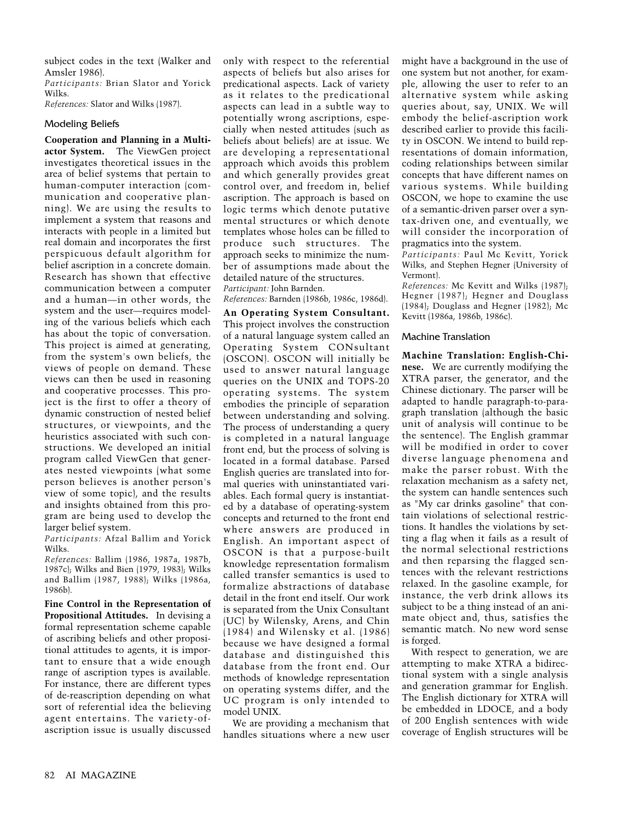subject codes in the text (Walker and Amsler 1986).

*Participants:* Brian Slator and Yorick Wilks.

*References:* Slator and Wilks (1987).

# Modeling Beliefs

**Cooperation and Planning in a Multiactor System.** The ViewGen project investigates theoretical issues in the area of belief systems that pertain to human-computer interaction (communication and cooperative planning). We are using the results to implement a system that reasons and interacts with people in a limited but real domain and incorporates the first perspicuous default algorithm for belief ascription in a concrete domain. Research has shown that effective communication between a computer and a human—in other words, the system and the user—requires modeling of the various beliefs which each has about the topic of conversation. This project is aimed at generating, from the system's own beliefs, the views of people on demand. These views can then be used in reasoning and cooperative processes. This project is the first to offer a theory of dynamic construction of nested belief structures, or viewpoints, and the heuristics associated with such constructions. We developed an initial program called ViewGen that generates nested viewpoints (what some person believes is another person's view of some topic), and the results and insights obtained from this program are being used to develop the larger belief system.

*Participants:* Afzal Ballim and Yorick Wilks.

*References:* Ballim (1986, 1987a, 1987b, 1987c); Wilks and Bien (1979, 1983); Wilks and Ballim (1987, 1988); Wilks (1986a, 1986b).

**Fine Control in the Representation of Propositional Attitudes.** In devising a formal representation scheme capable of ascribing beliefs and other propositional attitudes to agents, it is important to ensure that a wide enough range of ascription types is available. For instance, there are different types of de-reascription depending on what sort of referential idea the believing agent entertains. The variety-ofascription issue is usually discussed only with respect to the referential aspects of beliefs but also arises for predicational aspects. Lack of variety as it relates to the predicational aspects can lead in a subtle way to potentially wrong ascriptions, especially when nested attitudes (such as beliefs about beliefs) are at issue. We are developing a representational approach which avoids this problem and which generally provides great control over, and freedom in, belief ascription. The approach is based on logic terms which denote putative mental structures or which denote templates whose holes can be filled to produce such structures. The approach seeks to minimize the number of assumptions made about the detailed nature of the structures. *Participant:* John Barnden.

*References:* Barnden (1986b, 1986c, 1986d).

**An Operating System Consultant.** This project involves the construction of a natural language system called an Operating System CONsultant (OSCON). OSCON will initially be used to answer natural language queries on the UNIX and TOPS-20 operating systems. The system embodies the principle of separation between understanding and solving. The process of understanding a query is completed in a natural language front end, but the process of solving is located in a formal database. Parsed English queries are translated into formal queries with uninstantiated variables. Each formal query is instantiated by a database of operating-system concepts and returned to the front end where answers are produced in English. An important aspect of OSCON is that a purpose-built knowledge representation formalism called transfer semantics is used to formalize abstractions of database detail in the front end itself. Our work is separated from the Unix Consultant (UC) by Wilensky, Arens, and Chin (1984) and Wilensky et al. (1986) because we have designed a formal database and distinguished this database from the front end. Our methods of knowledge representation on operating systems differ, and the UC program is only intended to model UNIX.

We are providing a mechanism that handles situations where a new user might have a background in the use of one system but not another, for example, allowing the user to refer to an alternative system while asking queries about, say, UNIX. We will embody the belief-ascription work described earlier to provide this facility in OSCON. We intend to build representations of domain information, coding relationships between similar concepts that have different names on various systems. While building OSCON, we hope to examine the use of a semantic-driven parser over a syntax-driven one, and eventually, we will consider the incorporation of pragmatics into the system.

*Participants:* Paul Mc Kevitt, Yorick Wilks, and Stephen Hegner (University of Vermont).

*References:* Mc Kevitt and Wilks (1987); Hegner (1987); Hegner and Douglass (1984); Douglass and Hegner (1982); Mc Kevitt (1986a, 1986b, 1986c).

# Machine Translation

**Machine Translation: English-Chinese.** We are currently modifying the XTRA parser, the generator, and the Chinese dictionary. The parser will be adapted to handle paragraph-to-paragraph translation (although the basic unit of analysis will continue to be the sentence). The English grammar will be modified in order to cover diverse language phenomena and make the parser robust. With the relaxation mechanism as a safety net, the system can handle sentences such as "My car drinks gasoline" that contain violations of selectional restrictions. It handles the violations by setting a flag when it fails as a result of the normal selectional restrictions and then reparsing the flagged sentences with the relevant restrictions relaxed. In the gasoline example, for instance, the verb drink allows its subject to be a thing instead of an animate object and, thus, satisfies the semantic match. No new word sense is forged.

With respect to generation, we are attempting to make XTRA a bidirectional system with a single analysis and generation grammar for English. The English dictionary for XTRA will be embedded in LDOCE, and a body of 200 English sentences with wide coverage of English structures will be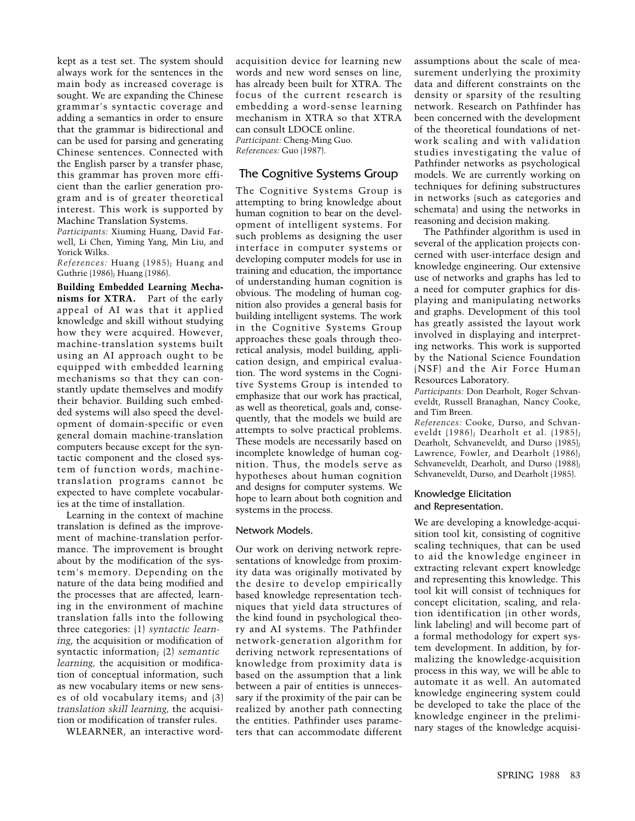kept as a test set. The system should always work for the sentences in the main body as increased coverage is sought. We are expanding the Chinese grammar's syntactic coverage and adding a semantics in order to ensure that the grammar is bidirectional and can be used for parsing and generating Chinese sentences. Connected with the English parser by a transfer phase, this grammar has proven more efficient than the earlier generation program and is of greater theoretical interest. This work is supported by Machine Translation Systems.

*Participants:* Xiuming Huang, David Farwell, Li Chen, Yiming Yang, Min Liu, and Yorick Wilks.

*References:* Huang (1985); Huang and Guthrie (1986); Huang (1986).

**Building Embedded Learning Mechanisms for XTRA.** Part of the early appeal of AI was that it applied knowledge and skill without studying how they were acquired. However, machine-translation systems built using an AI approach ought to be equipped with embedded learning mechanisms so that they can constantly update themselves and modify their behavior. Building such embedded systems will also speed the development of domain-specific or even general domain machine-translation computers because except for the syntactic component and the closed system of function words, machinetranslation programs cannot be expected to have complete vocabularies at the time of installation.

Learning in the context of machine translation is defined as the improvement of machine-translation performance. The improvement is brought about by the modification of the system's memory. Depending on the nature of the data being modified and the processes that are affected, learning in the environment of machine translation falls into the following three categories: (1) *syntactic learning*, the acquisition or modification of syntactic information; (2) *semantic learning,* the acquisition or modification of conceptual information, such as new vocabulary items or new senses of old vocabulary items; and (3) *translation skill learning,* the acquisition or modification of transfer rules.

WLEARNER, an interactive word-

acquisition device for learning new words and new word senses on line, has already been built for XTRA. The focus of the current research is embedding a word-sense learning mechanism in XTRA so that XTRA can consult LDOCE online. *Participant:* Cheng-Ming Guo.

*References:* Guo (1987).

# The Cognitive Systems Group

The Cognitive Systems Group is attempting to bring knowledge about human cognition to bear on the development of intelligent systems. For such problems as designing the user interface in computer systems or developing computer models for use in training and education, the importance of understanding human cognition is obvious. The modeling of human cognition also provides a general basis for building intelligent systems. The work in the Cognitive Systems Group approaches these goals through theoretical analysis, model building, application design, and empirical evaluation. The word systems in the Cognitive Systems Group is intended to emphasize that our work has practical, as well as theoretical, goals and, consequently, that the models we build are attempts to solve practical problems. These models are necessarily based on incomplete knowledge of human cognition. Thus, the models serve as hypotheses about human cognition and designs for computer systems. We hope to learn about both cognition and systems in the process.

# Network Models.

Our work on deriving network representations of knowledge from proximity data was originally motivated by the desire to develop empirically based knowledge representation techniques that yield data structures of the kind found in psychological theory and AI systems. The Pathfinder network-generation algorithm for deriving network representations of knowledge from proximity data is based on the assumption that a link between a pair of entities is unnecessary if the proximity of the pair can be realized by another path connecting the entities. Pathfinder uses parameters that can accommodate different

assumptions about the scale of measurement underlying the proximity data and different constraints on the density or sparsity of the resulting network. Research on Pathfinder has been concerned with the development of the theoretical foundations of network scaling and with validation studies investigating the value of Pathfinder networks as psychological models. We are currently working on techniques for defining substructures in networks (such as categories and schemata) and using the networks in reasoning and decision making.

The Pathfinder algorithm is used in several of the application projects concerned with user-interface design and knowledge engineering. Our extensive use of networks and graphs has led to a need for computer graphics for displaying and manipulating networks and graphs. Development of this tool has greatly assisted the layout work involved in displaying and interpreting networks. This work is supported by the National Science Foundation (NSF) and the Air Force Human Resources Laboratory.

*Participants:* Don Dearholt, Roger Schvaneveldt, Russell Branaghan, Nancy Cooke, and Tim Breen.

*References:* Cooke, Durso, and Schvaneveldt (1986); Dearholt et al. (1985); Dearholt, Schvaneveldt, and Durso (1985); Lawrence, Fowler, and Dearholt (1986); Schvaneveldt, Dearholt, and Durso (1988); Schvaneveldt, Durso, and Dearholt (1985).

# Knowledge Elicitation and Representation.

We are developing a knowledge-acquisition tool kit, consisting of cognitive scaling techniques, that can be used to aid the knowledge engineer in extracting relevant expert knowledge and representing this knowledge. This tool kit will consist of techniques for concept elicitation, scaling, and relation identification (in other words, link labeling) and will become part of a formal methodology for expert system development. In addition, by formalizing the knowledge-acquisition process in this way, we will be able to automate it as well. An automated knowledge engineering system could be developed to take the place of the knowledge engineer in the preliminary stages of the knowledge acquisi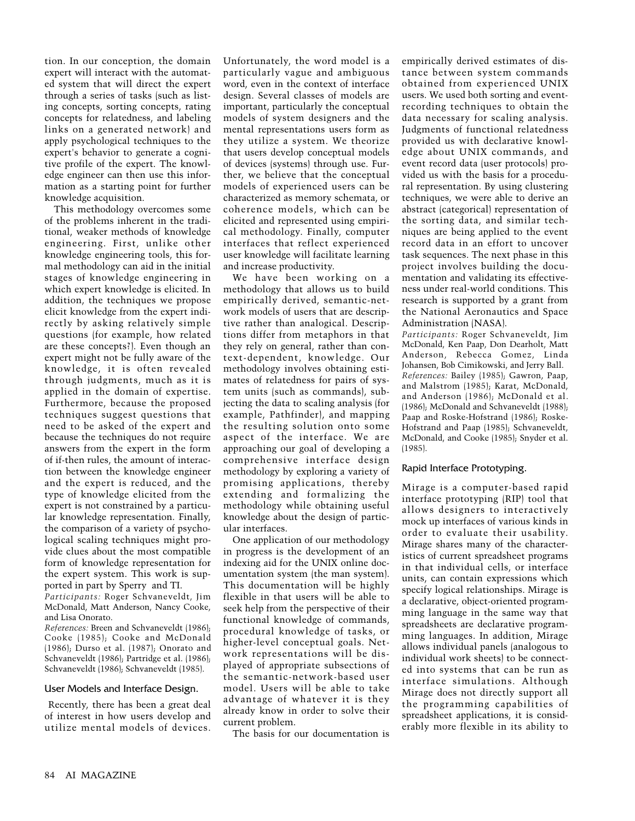tion. In our conception, the domain expert will interact with the automated system that will direct the expert through a series of tasks (such as listing concepts, sorting concepts, rating concepts for relatedness, and labeling links on a generated network) and apply psychological techniques to the expert's behavior to generate a cognitive profile of the expert. The knowledge engineer can then use this information as a starting point for further knowledge acquisition.

This methodology overcomes some of the problems inherent in the traditional, weaker methods of knowledge engineering. First, unlike other knowledge engineering tools, this formal methodology can aid in the initial stages of knowledge engineering in which expert knowledge is elicited. In addition, the techniques we propose elicit knowledge from the expert indirectly by asking relatively simple questions (for example, how related are these concepts?). Even though an expert might not be fully aware of the knowledge, it is often revealed through judgments, much as it is applied in the domain of expertise. Furthermore, because the proposed techniques suggest questions that need to be asked of the expert and because the techniques do not require answers from the expert in the form of if-then rules, the amount of interaction between the knowledge engineer and the expert is reduced, and the type of knowledge elicited from the expert is not constrained by a particular knowledge representation. Finally, the comparison of a variety of psychological scaling techniques might provide clues about the most compatible form of knowledge representation for the expert system. This work is supported in part by Sperry and TI.

*Participants:* Roger Schvaneveldt, Jim McDonald, Matt Anderson, Nancy Cooke, and Lisa Onorato.

*References:* Breen and Schvaneveldt (1986); Cooke (1985); Cooke and McDonald (1986); Durso et al. (1987); Onorato and Schvaneveldt (1986); Partridge et al. (1986); Schvaneveldt (1986); Schvaneveldt (1985).

#### User Models and Interface Design.

Recently, there has been a great deal of interest in how users develop and utilize mental models of devices.

Unfortunately, the word model is a particularly vague and ambiguous word, even in the context of interface design. Several classes of models are important, particularly the conceptual models of system designers and the mental representations users form as they utilize a system. We theorize that users develop conceptual models of devices (systems) through use. Further, we believe that the conceptual models of experienced users can be characterized as memory schemata, or coherence models, which can be elicited and represented using empirical methodology. Finally, computer interfaces that reflect experienced user knowledge will facilitate learning and increase productivity.

We have been working on a methodology that allows us to build empirically derived, semantic-network models of users that are descriptive rather than analogical. Descriptions differ from metaphors in that they rely on general, rather than context-dependent, knowledge. Our methodology involves obtaining estimates of relatedness for pairs of system units (such as commands), subjecting the data to scaling analysis (for example, Pathfinder), and mapping the resulting solution onto some aspect of the interface. We are approaching our goal of developing a comprehensive interface design methodology by exploring a variety of promising applications, thereby extending and formalizing the methodology while obtaining useful knowledge about the design of particular interfaces.

One application of our methodology in progress is the development of an indexing aid for the UNIX online documentation system (the man system). This documentation will be highly flexible in that users will be able to seek help from the perspective of their functional knowledge of commands, procedural knowledge of tasks, or higher-level conceptual goals. Network representations will be displayed of appropriate subsections of the semantic-network-based user model. Users will be able to take advantage of whatever it is they already know in order to solve their current problem.

The basis for our documentation is

empirically derived estimates of distance between system commands obtained from experienced UNIX users. We used both sorting and eventrecording techniques to obtain the data necessary for scaling analysis. Judgments of functional relatedness provided us with declarative knowledge about UNIX commands, and event record data (user protocols) provided us with the basis for a procedural representation. By using clustering techniques, we were able to derive an abstract (categorical) representation of the sorting data, and similar techniques are being applied to the event record data in an effort to uncover task sequences. The next phase in this project involves building the documentation and validating its effectiveness under real-world conditions. This research is supported by a grant from the National Aeronautics and Space Administration (NASA).

*Participants:* Roger Schvaneveldt, Jim McDonald, Ken Paap, Don Dearholt, Matt Anderson, Rebecca Gomez, Linda Johansen, Bob Cimikowski, and Jerry Ball. *References:* Bailey (1985); Gawron, Paap, and Malstrom (1985); Karat, McDonald, and Anderson (1986); McDonald et al. (1986); McDonald and Schvaneveldt (1988); Paap and Roske-Hofstrand (1986); Roske-Hofstrand and Paap (1985); Schvaneveldt, McDonald, and Cooke (1985); Snyder et al. (1985).

# Rapid Interface Prototyping.

Mirage is a computer-based rapid interface prototyping (RIP) tool that allows designers to interactively mock up interfaces of various kinds in order to evaluate their usability. Mirage shares many of the characteristics of current spreadsheet programs in that individual cells, or interface units, can contain expressions which specify logical relationships. Mirage is a declarative, object-oriented programming language in the same way that spreadsheets are declarative programming languages. In addition, Mirage allows individual panels (analogous to individual work sheets) to be connected into systems that can be run as interface simulations. Although Mirage does not directly support all the programming capabilities of spreadsheet applications, it is considerably more flexible in its ability to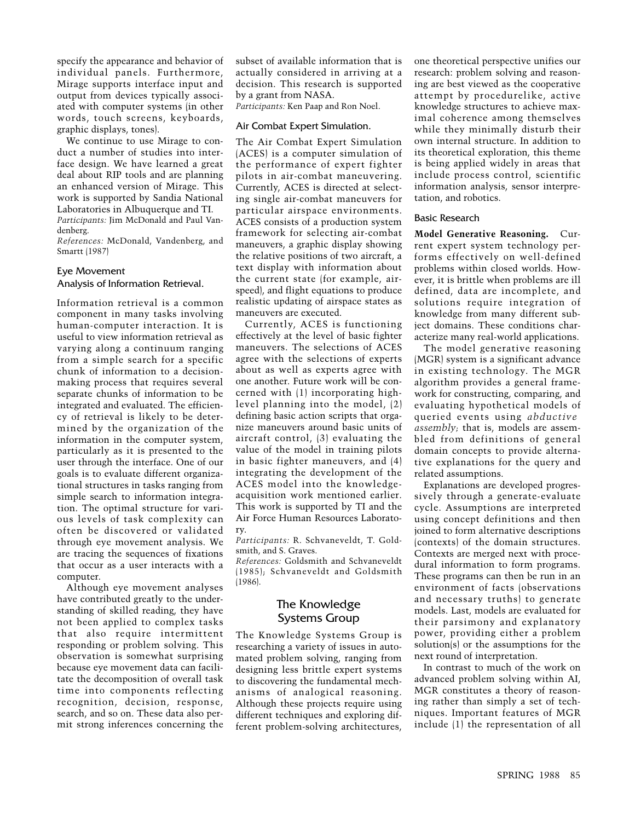specify the appearance and behavior of individual panels. Furthermore, Mirage supports interface input and output from devices typically associated with computer systems (in other words, touch screens, keyboards, graphic displays, tones).

We continue to use Mirage to conduct a number of studies into interface design. We have learned a great deal about RIP tools and are planning an enhanced version of Mirage. This work is supported by Sandia National Laboratories in Albuquerque and TI. *Participants:* Jim McDonald and Paul Vandenberg.

*References:* McDonald, Vandenberg, and Smartt (1987)

# Eye Movement

# Analysis of Information Retrieval.

Information retrieval is a common component in many tasks involving human-computer interaction. It is useful to view information retrieval as varying along a continuum ranging from a simple search for a specific chunk of information to a decisionmaking process that requires several separate chunks of information to be integrated and evaluated. The efficiency of retrieval is likely to be determined by the organization of the information in the computer system, particularly as it is presented to the user through the interface. One of our goals is to evaluate different organizational structures in tasks ranging from simple search to information integration. The optimal structure for various levels of task complexity can often be discovered or validated through eye movement analysis. We are tracing the sequences of fixations that occur as a user interacts with a computer.

Although eye movement analyses have contributed greatly to the understanding of skilled reading, they have not been applied to complex tasks that also require intermittent responding or problem solving. This observation is somewhat surprising because eye movement data can facilitate the decomposition of overall task time into components reflecting recognition, decision, response, search, and so on. These data also permit strong inferences concerning the

subset of available information that is actually considered in arriving at a decision. This research is supported by a grant from NASA.

*Participants:* Ken Paap and Ron Noel.

# Air Combat Expert Simulation.

The Air Combat Expert Simulation (ACES) is a computer simulation of the performance of expert fighter pilots in air-combat maneuvering. Currently, ACES is directed at selecting single air-combat maneuvers for particular airspace environments. ACES consists of a production system framework for selecting air-combat maneuvers, a graphic display showing the relative positions of two aircraft, a text display with information about the current state (for example, airspeed), and flight equations to produce realistic updating of airspace states as maneuvers are executed.

Currently, ACES is functioning effectively at the level of basic fighter maneuvers. The selections of ACES agree with the selections of experts about as well as experts agree with one another. Future work will be concerned with (1) incorporating highlevel planning into the model, (2) defining basic action scripts that organize maneuvers around basic units of aircraft control, (3) evaluating the value of the model in training pilots in basic fighter maneuvers, and (4) integrating the development of the ACES model into the knowledgeacquisition work mentioned earlier. This work is supported by TI and the Air Force Human Resources Laboratory.

*Participants:* R. Schvaneveldt, T. Goldsmith, and S. Graves.

*References:* Goldsmith and Schvaneveldt (1985); Schvaneveldt and Goldsmith (1986).

# The Knowledge Systems Group

The Knowledge Systems Group is researching a variety of issues in automated problem solving, ranging from designing less brittle expert systems to discovering the fundamental mechanisms of analogical reasoning. Although these projects require using different techniques and exploring different problem-solving architectures,

one theoretical perspective unifies our research: problem solving and reasoning are best viewed as the cooperative attempt by procedurelike, active knowledge structures to achieve maximal coherence among themselves while they minimally disturb their own internal structure. In addition to its theoretical exploration, this theme is being applied widely in areas that include process control, scientific information analysis, sensor interpretation, and robotics.

#### Basic Research

**Model Generative Reasoning.** Current expert system technology performs effectively on well-defined problems within closed worlds. However, it is brittle when problems are ill defined, data are incomplete, and solutions require integration of knowledge from many different subject domains. These conditions characterize many real-world applications.

The model generative reasoning (MGR) system is a significant advance in existing technology. The MGR algorithm provides a general framework for constructing, comparing, and evaluating hypothetical models of queried events using *abductive assembly;* that is, models are assembled from definitions of general domain concepts to provide alternative explanations for the query and related assumptions.

Explanations are developed progressively through a generate-evaluate cycle. Assumptions are interpreted using concept definitions and then joined to form alternative descriptions (contexts) of the domain structures. Contexts are merged next with procedural information to form programs. These programs can then be run in an environment of facts (observations and necessary truths) to generate models. Last, models are evaluated for their parsimony and explanatory power, providing either a problem solution(s) or the assumptions for the next round of interpretation.

In contrast to much of the work on advanced problem solving within AI, MGR constitutes a theory of reasoning rather than simply a set of techniques. Important features of MGR include (1) the representation of all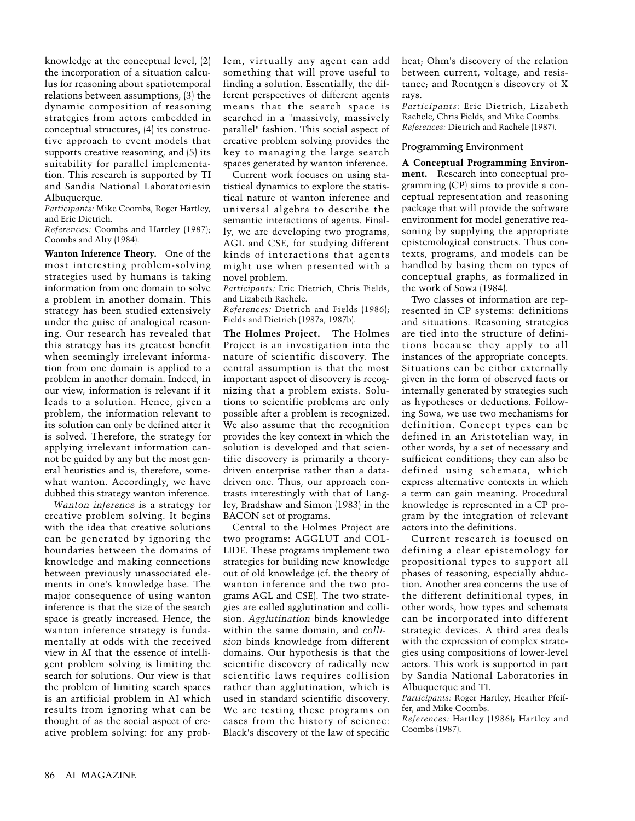knowledge at the conceptual level, (2) the incorporation of a situation calculus for reasoning about spatiotemporal relations between assumptions, (3) the dynamic composition of reasoning strategies from actors embedded in conceptual structures, (4) its constructive approach to event models that supports creative reasoning, and (5) its suitability for parallel implementation. This research is supported by TI and Sandia National Laboratoriesin Albuquerque.

*Participants:* Mike Coombs, Roger Hartley, and Eric Dietrich.

*References:* Coombs and Hartley (1987); Coombs and Alty (1984).

**Wanton Inference Theory.** One of the most interesting problem-solving strategies used by humans is taking information from one domain to solve a problem in another domain. This strategy has been studied extensively under the guise of analogical reasoning. Our research has revealed that this strategy has its greatest benefit when seemingly irrelevant information from one domain is applied to a problem in another domain. Indeed, in our view, information is relevant if it leads to a solution. Hence, given a problem, the information relevant to its solution can only be defined after it is solved. Therefore, the strategy for applying irrelevant information cannot be guided by any but the most general heuristics and is, therefore, somewhat wanton. Accordingly, we have dubbed this strategy wanton inference.

*Wanton inference* is a strategy for creative problem solving. It begins with the idea that creative solutions can be generated by ignoring the boundaries between the domains of knowledge and making connections between previously unassociated elements in one's knowledge base. The major consequence of using wanton inference is that the size of the search space is greatly increased. Hence, the wanton inference strategy is fundamentally at odds with the received view in AI that the essence of intelligent problem solving is limiting the search for solutions. Our view is that the problem of limiting search spaces is an artificial problem in AI which results from ignoring what can be thought of as the social aspect of creative problem solving: for any problem, virtually any agent can add something that will prove useful to finding a solution. Essentially, the different perspectives of different agents means that the search space is searched in a "massively, massively parallel" fashion. This social aspect of creative problem solving provides the key to managing the large search spaces generated by wanton inference.

Current work focuses on using statistical dynamics to explore the statistical nature of wanton inference and universal algebra to describe the semantic interactions of agents. Finally, we are developing two programs, AGL and CSE, for studying different kinds of interactions that agents might use when presented with a novel problem.

*Participants:* Eric Dietrich, Chris Fields, and Lizabeth Rachele.

*References:* Dietrich and Fields (1986); Fields and Dietrich (1987a, 1987b).

**The Holmes Project.** The Holmes Project is an investigation into the nature of scientific discovery. The central assumption is that the most important aspect of discovery is recognizing that a problem exists. Solutions to scientific problems are only possible after a problem is recognized. We also assume that the recognition provides the key context in which the solution is developed and that scientific discovery is primarily a theorydriven enterprise rather than a datadriven one. Thus, our approach contrasts interestingly with that of Langley, Bradshaw and Simon (1983) in the BACON set of programs.

Central to the Holmes Project are two programs: AGGLUT and COL-LIDE. These programs implement two strategies for building new knowledge out of old knowledge (cf. the theory of wanton inference and the two programs AGL and CSE). The two strategies are called agglutination and collision. *Agglutination* binds knowledge within the same domain, and *collision* binds knowledge from different domains. Our hypothesis is that the scientific discovery of radically new scientific laws requires collision rather than agglutination, which is used in standard scientific discovery. We are testing these programs on cases from the history of science: Black's discovery of the law of specific heat; Ohm's discovery of the relation between current, voltage, and resistance; and Roentgen's discovery of X rays.

*Participants:* Eric Dietrich, Lizabeth Rachele, Chris Fields, and Mike Coombs. *References:* Dietrich and Rachele (1987).

#### Programming Environment

**A Conceptual Programming Environment.** Research into conceptual programming (CP) aims to provide a conceptual representation and reasoning package that will provide the software environment for model generative reasoning by supplying the appropriate epistemological constructs. Thus contexts, programs, and models can be handled by basing them on types of conceptual graphs, as formalized in the work of Sowa (1984).

Two classes of information are represented in CP systems: definitions and situations. Reasoning strategies are tied into the structure of definitions because they apply to all instances of the appropriate concepts. Situations can be either externally given in the form of observed facts or internally generated by strategies such as hypotheses or deductions. Following Sowa, we use two mechanisms for definition. Concept types can be defined in an Aristotelian way, in other words, by a set of necessary and sufficient conditions; they can also be defined using schemata, which express alternative contexts in which a term can gain meaning. Procedural knowledge is represented in a CP program by the integration of relevant actors into the definitions.

Current research is focused on defining a clear epistemology for propositional types to support all phases of reasoning, especially abduction. Another area concerns the use of the different definitional types, in other words, how types and schemata can be incorporated into different strategic devices. A third area deals with the expression of complex strategies using compositions of lower-level actors. This work is supported in part by Sandia National Laboratories in Albuquerque and TI.

*Participants:* Roger Hartley, Heather Pfeiffer, and Mike Coombs.

*References:* Hartley (1986); Hartley and Coombs (1987).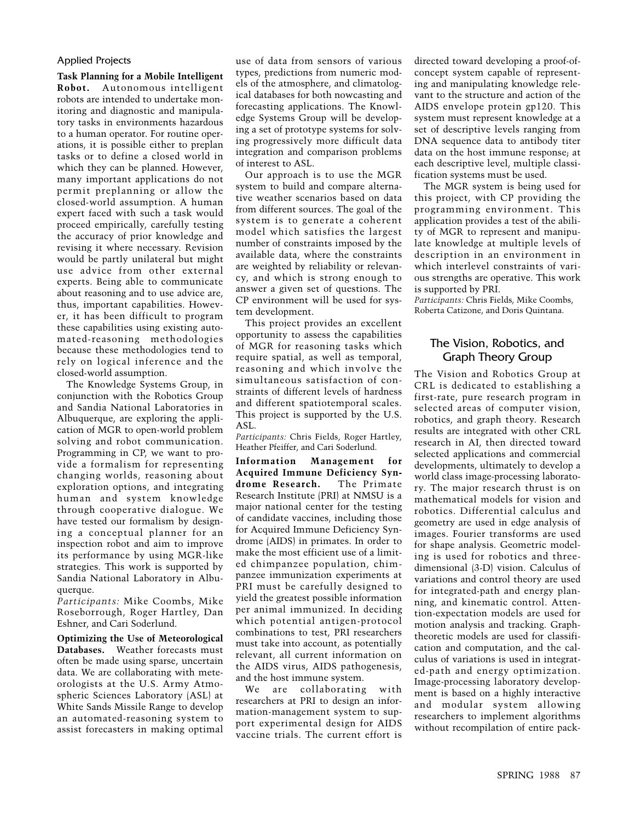# Applied Projects

**Task Planning for a Mobile Intelligent Robot.** Autonomous intelligent robots are intended to undertake monitoring and diagnostic and manipulatory tasks in environments hazardous to a human operator. For routine operations, it is possible either to preplan tasks or to define a closed world in which they can be planned. However, many important applications do not permit preplanning or allow the closed-world assumption. A human expert faced with such a task would proceed empirically, carefully testing the accuracy of prior knowledge and revising it where necessary. Revision would be partly unilateral but might use advice from other external experts. Being able to communicate about reasoning and to use advice are, thus, important capabilities. However, it has been difficult to program these capabilities using existing automated-reasoning methodologies because these methodologies tend to rely on logical inference and the closed-world assumption.

The Knowledge Systems Group, in conjunction with the Robotics Group and Sandia National Laboratories in Albuquerque, are exploring the application of MGR to open-world problem solving and robot communication. Programming in CP, we want to provide a formalism for representing changing worlds, reasoning about exploration options, and integrating human and system knowledge through cooperative dialogue. We have tested our formalism by designing a conceptual planner for an inspection robot and aim to improve its performance by using MGR-like strategies. This work is supported by Sandia National Laboratory in Albuquerque.

*Participants:* Mike Coombs, Mike Roseborrough, Roger Hartley, Dan Eshner, and Cari Soderlund.

**Optimizing the Use of Meteorological Databases.** Weather forecasts must often be made using sparse, uncertain data. We are collaborating with meteorologists at the U.S. Army Atmospheric Sciences Laboratory (ASL) at White Sands Missile Range to develop an automated-reasoning system to assist forecasters in making optimal use of data from sensors of various types, predictions from numeric models of the atmosphere, and climatological databases for both nowcasting and forecasting applications. The Knowledge Systems Group will be developing a set of prototype systems for solving progressively more difficult data integration and comparison problems of interest to ASL.

Our approach is to use the MGR system to build and compare alternative weather scenarios based on data from different sources. The goal of the system is to generate a coherent model which satisfies the largest number of constraints imposed by the available data, where the constraints are weighted by reliability or relevancy, and which is strong enough to answer a given set of questions. The CP environment will be used for system development.

This project provides an excellent opportunity to assess the capabilities of MGR for reasoning tasks which require spatial, as well as temporal, reasoning and which involve the simultaneous satisfaction of constraints of different levels of hardness and different spatiotemporal scales. This project is supported by the U.S. ASL.

*Participants:* Chris Fields, Roger Hartley, Heather Pfeiffer, and Cari Soderlund.

**Information Management for Acquired Immune Deficiency Syndrome Research.** The Primate Research Institute (PRI) at NMSU is a major national center for the testing of candidate vaccines, including those for Acquired Immune Deficiency Syndrome (AIDS) in primates. In order to make the most efficient use of a limited chimpanzee population, chimpanzee immunization experiments at PRI must be carefully designed to yield the greatest possible information per animal immunized. In deciding which potential antigen-protocol combinations to test, PRI researchers must take into account, as potentially relevant, all current information on the AIDS virus, AIDS pathogenesis, and the host immune system.

We are collaborating with researchers at PRI to design an information-management system to support experimental design for AIDS vaccine trials. The current effort is

directed toward developing a proof-ofconcept system capable of representing and manipulating knowledge relevant to the structure and action of the AIDS envelope protein gp120. This system must represent knowledge at a set of descriptive levels ranging from DNA sequence data to antibody titer data on the host immune response; at each descriptive level, multiple classification systems must be used.

The MGR system is being used for this project, with CP providing the programming environment. This application provides a test of the ability of MGR to represent and manipulate knowledge at multiple levels of description in an environment in which interlevel constraints of various strengths are operative. This work is supported by PRI.

*Participants:* Chris Fields, Mike Coombs, Roberta Catizone, and Doris Quintana.

# The Vision, Robotics, and Graph Theory Group

The Vision and Robotics Group at CRL is dedicated to establishing a first-rate, pure research program in selected areas of computer vision, robotics, and graph theory. Research results are integrated with other CRL research in AI, then directed toward selected applications and commercial developments, ultimately to develop a world class image-processing laboratory. The major research thrust is on mathematical models for vision and robotics. Differential calculus and geometry are used in edge analysis of images. Fourier transforms are used for shape analysis. Geometric modeling is used for robotics and threedimensional (3-D) vision. Calculus of variations and control theory are used for integrated-path and energy planning, and kinematic control. Attention-expectation models are used for motion analysis and tracking. Graphtheoretic models are used for classification and computation, and the calculus of variations is used in integrated-path and energy optimization. Image-processing laboratory development is based on a highly interactive and modular system allowing researchers to implement algorithms without recompilation of entire pack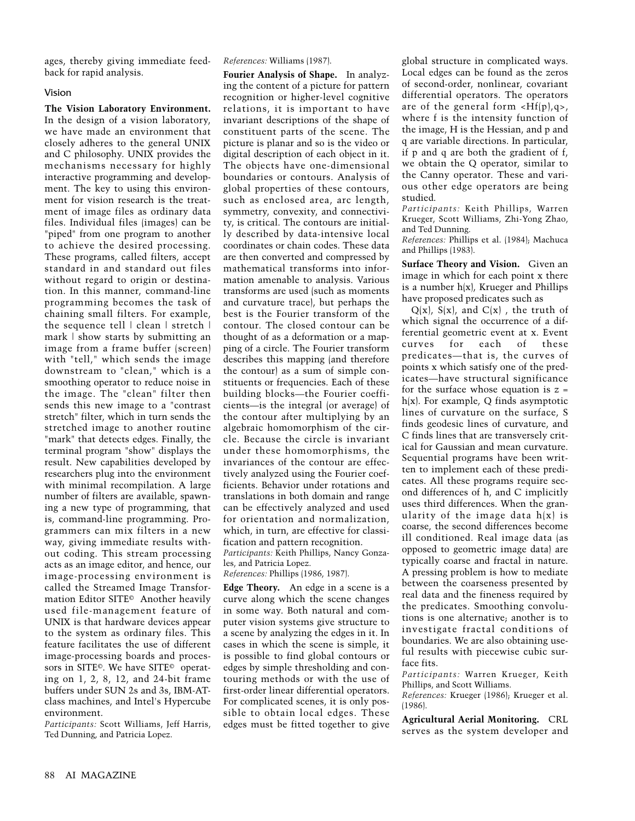ages, thereby giving immediate feedback for rapid analysis.

# Vision

**The Vision Laboratory Environment.** In the design of a vision laboratory, we have made an environment that closely adheres to the general UNIX and C philosophy. UNIX provides the mechanisms necessary for highly interactive programming and development. The key to using this environment for vision research is the treatment of image files as ordinary data files. Individual files (images) can be "piped" from one program to another to achieve the desired processing. These programs, called filters, accept standard in and standard out files without regard to origin or destination. In this manner, command-line programming becomes the task of chaining small filters. For example, the sequence tell | clean | stretch | mark | show starts by submitting an image from a frame buffer (screen) with "tell," which sends the image downstream to "clean," which is a smoothing operator to reduce noise in the image. The "clean" filter then sends this new image to a "contrast stretch" filter, which in turn sends the stretched image to another routine "mark" that detects edges. Finally, the terminal program "show" displays the result. New capabilities developed by researchers plug into the environment with minimal recompilation. A large number of filters are available, spawning a new type of programming, that is, command-line programming. Programmers can mix filters in a new way, giving immediate results without coding. This stream processing acts as an image editor, and hence, our image-processing environment is called the Streamed Image Transformation Editor SITE© Another heavily used file-management feature of UNIX is that hardware devices appear to the system as ordinary files. This feature facilitates the use of different image-processing boards and processors in SITE©. We have SITE© operating on 1, 2, 8, 12, and 24-bit frame buffers under SUN 2s and 3s, IBM-ATclass machines, and Intel's Hypercube environment.

*Participants:* Scott Williams, Jeff Harris, Ted Dunning, and Patricia Lopez.

*References:* Williams (1987).

**Fourier Analysis of Shape.** In analyzing the content of a picture for pattern recognition or higher-level cognitive relations, it is important to have invariant descriptions of the shape of constituent parts of the scene. The picture is planar and so is the video or digital description of each object in it. The objects have one-dimensional boundaries or contours. Analysis of global properties of these contours, such as enclosed area, arc length, symmetry, convexity, and connectivity, is critical. The contours are initially described by data-intensive local coordinates or chain codes. These data are then converted and compressed by mathematical transforms into information amenable to analysis. Various transforms are used (such as moments and curvature trace), but perhaps the best is the Fourier transform of the contour. The closed contour can be thought of as a deformation or a mapping of a circle. The Fourier transform describes this mapping (and therefore the contour) as a sum of simple constituents or frequencies. Each of these building blocks—the Fourier coefficients—is the integral (or average) of the contour after multiplying by an algebraic homomorphism of the circle. Because the circle is invariant under these homomorphisms, the invariances of the contour are effectively analyzed using the Fourier coefficients. Behavior under rotations and translations in both domain and range can be effectively analyzed and used for orientation and normalization, which, in turn, are effective for classification and pattern recognition. *Participants:* Keith Phillips, Nancy Gonza-

les, and Patricia Lopez.

*References:* Phillips (1986, 1987).

**Edge Theory.** An edge in a scene is a curve along which the scene changes in some way. Both natural and computer vision systems give structure to a scene by analyzing the edges in it. In cases in which the scene is simple, it is possible to find global contours or edges by simple thresholding and contouring methods or with the use of first-order linear differential operators. For complicated scenes, it is only possible to obtain local edges. These edges must be fitted together to give

global structure in complicated ways. Local edges can be found as the zeros of second-order, nonlinear, covariant differential operators. The operators are of the general form  $\langle Hf(p),q\rangle$ , where f is the intensity function of the image, H is the Hessian, and p and q are variable directions. In particular, if p and q are both the gradient of f, we obtain the Q operator, similar to the Canny operator. These and various other edge operators are being studied.

*Participants:* Keith Phillips, Warren Krueger, Scott Williams, Zhi-Yong Zhao, and Ted Dunning.

*References:* Phillips et al. (1984); Machuca and Phillips (1983).

**Surface Theory and Vision.** Given an image in which for each point x there is a number  $h(x)$ , Krueger and Phillips have proposed predicates such as

 $Q(x)$ ,  $S(x)$ , and  $C(x)$ , the truth of which signal the occurrence of a differential geometric event at x. Event curves for each of these predicates—that is, the curves of points x which satisfy one of the predicates—have structural significance for the surface whose equation is  $z =$ h(x). For example, Q finds asymptotic lines of curvature on the surface, S finds geodesic lines of curvature, and C finds lines that are transversely critical for Gaussian and mean curvature. Sequential programs have been written to implement each of these predicates. All these programs require second differences of h, and C implicitly uses third differences. When the granularity of the image data  $h(x)$  is coarse, the second differences become ill conditioned. Real image data (as opposed to geometric image data) are typically coarse and fractal in nature. A pressing problem is how to mediate between the coarseness presented by real data and the fineness required by the predicates. Smoothing convolutions is one alternative; another is to investigate fractal conditions of boundaries. We are also obtaining useful results with piecewise cubic surface fits.

*Participants:* Warren Krueger, Keith Phillips, and Scott Williams.

*References:* Krueger (1986); Krueger et al. (1986).

**Agricultural Aerial Monitoring.** CRL serves as the system developer and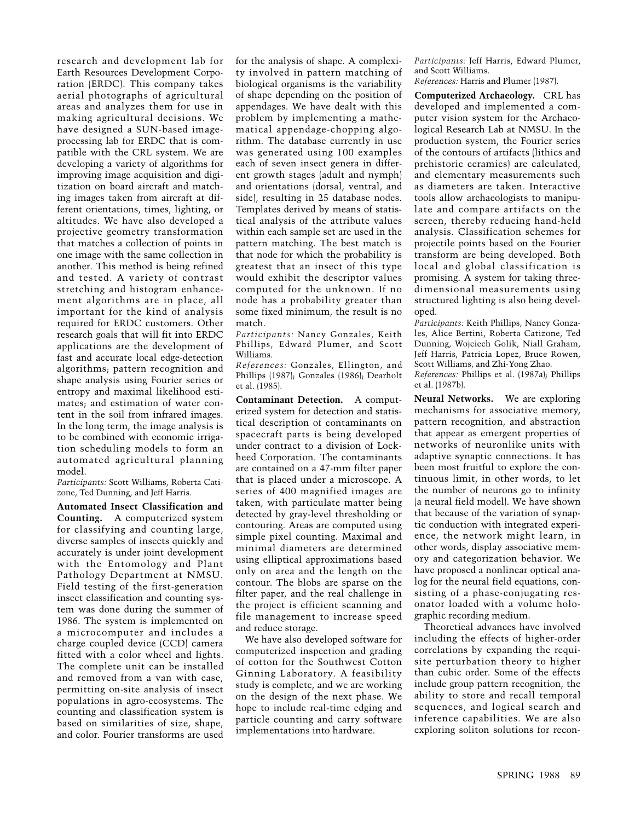research and development lab for Earth Resources Development Corporation (ERDC). This company takes aerial photographs of agricultural areas and analyzes them for use in making agricultural decisions. We have designed a SUN-based imageprocessing lab for ERDC that is compatible with the CRL system. We are developing a variety of algorithms for improving image acquisition and digitization on board aircraft and matching images taken from aircraft at different orientations, times, lighting, or altitudes. We have also developed a projective geometry transformation that matches a collection of points in one image with the same collection in another. This method is being refined and tested. A variety of contrast stretching and histogram enhancement algorithms are in place, all important for the kind of analysis required for ERDC customers. Other research goals that will fit into ERDC applications are the development of fast and accurate local edge-detection algorithms; pattern recognition and shape analysis using Fourier series or entropy and maximal likelihood estimates; and estimation of water content in the soil from infrared images. In the long term, the image analysis is to be combined with economic irrigation scheduling models to form an automated agricultural planning model.

*Participants:* Scott Williams, Roberta Catizone, Ted Dunning, and Jeff Harris.

**Automated Insect Classification and Counting.** A computerized system for classifying and counting large, diverse samples of insects quickly and accurately is under joint development with the Entomology and Plant Pathology Department at NMSU. Field testing of the first-generation insect classification and counting system was done during the summer of 1986. The system is implemented on a microcomputer and includes a charge coupled device (CCD) camera fitted with a color wheel and lights. The complete unit can be installed and removed from a van with ease, permitting on-site analysis of insect populations in agro-ecosystems. The counting and classification system is based on similarities of size, shape, and color. Fourier transforms are used for the analysis of shape. A complexity involved in pattern matching of biological organisms is the variability of shape depending on the position of appendages. We have dealt with this problem by implementing a mathematical appendage-chopping algorithm. The database currently in use was generated using 100 examples each of seven insect genera in different growth stages (adult and nymph) and orientations (dorsal, ventral, and side), resulting in 25 database nodes. Templates derived by means of statistical analysis of the attribute values within each sample set are used in the pattern matching. The best match is that node for which the probability is greatest that an insect of this type would exhibit the descriptor values computed for the unknown. If no node has a probability greater than some fixed minimum, the result is no match.

*Participants:* Nancy Gonzales, Keith Phillips, Edward Plumer, and Scott Williams.

*References:* Gonzales, Ellington, and Phillips (1987); Gonzales (1986); Dearholt et al. (1985).

**Contaminant Detection.** A computerized system for detection and statistical description of contaminants on spacecraft parts is being developed under contract to a division of Lockheed Corporation. The contaminants are contained on a 47-mm filter paper that is placed under a microscope. A series of 400 magnified images are taken, with particulate matter being detected by gray-level thresholding or contouring. Areas are computed using simple pixel counting. Maximal and minimal diameters are determined using elliptical approximations based only on area and the length on the contour. The blobs are sparse on the filter paper, and the real challenge in the project is efficient scanning and file management to increase speed and reduce storage.

We have also developed software for computerized inspection and grading of cotton for the Southwest Cotton Ginning Laboratory. A feasibility study is complete, and we are working on the design of the next phase. We hope to include real-time edging and particle counting and carry software implementations into hardware.

*Participants:* Jeff Harris, Edward Plumer, and Scott Williams.

*References:* Harris and Plumer (1987).

**Computerized Archaeology.** CRL has developed and implemented a computer vision system for the Archaeological Research Lab at NMSU. In the production system, the Fourier series of the contours of artifacts (lithics and prehistoric ceramics) are calculated, and elementary measurements such as diameters are taken. Interactive tools allow archaeologists to manipulate and compare artifacts on the screen, thereby reducing hand-held analysis. Classification schemes for projectile points based on the Fourier transform are being developed. Both local and global classification is promising. A system for taking threedimensional measurements using structured lighting is also being developed.

*Participants:* Keith Phillips, Nancy Gonzales, Alice Bertini, Roberta Catizone, Ted Dunning, Wojciech Golik, Niall Graham, Jeff Harris, Patricia Lopez, Bruce Rowen, Scott Williams, and Zhi-Yong Zhao. *References:* Phillips et al. (1987a); Phillips

et al. (1987b).

**Neural Networks.** We are exploring mechanisms for associative memory, pattern recognition, and abstraction that appear as emergent properties of networks of neuronlike units with adaptive synaptic connections. It has been most fruitful to explore the continuous limit, in other words, to let the number of neurons go to infinity (a neural field model). We have shown that because of the variation of synaptic conduction with integrated experience, the network might learn, in other words, display associative memory and categorization behavior. We have proposed a nonlinear optical analog for the neural field equations, consisting of a phase-conjugating resonator loaded with a volume holographic recording medium.

Theoretical advances have involved including the effects of higher-order correlations by expanding the requisite perturbation theory to higher than cubic order. Some of the effects include group pattern recognition, the ability to store and recall temporal sequences, and logical search and inference capabilities. We are also exploring soliton solutions for recon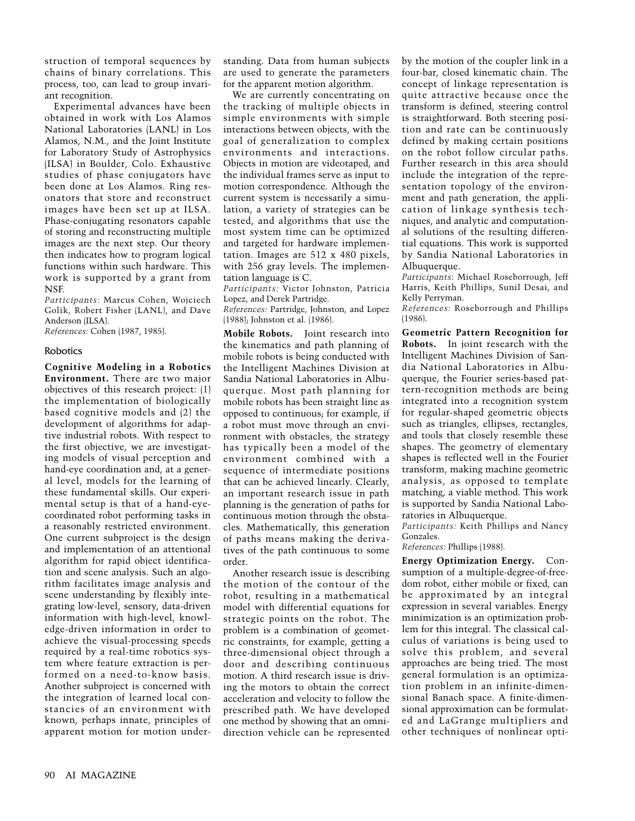struction of temporal sequences by chains of binary correlations. This process, too, can lead to group invariant recognition.

Experimental advances have been obtained in work with Los Alamos National Laboratories (LANL) in Los Alamos, N.M., and the Joint Institute for Laboratory Study of Astrophysics (ILSA) in Boulder, Colo. Exhaustive studies of phase conjugators have been done at Los Alamos. Ring resonators that store and reconstruct images have been set up at ILSA. Phase-conjugating resonators capable of storing and reconstructing multiple images are the next step. Our theory then indicates how to program logical functions within such hardware. This work is supported by a grant from **NSF.** 

*Participants:* Marcus Cohen, Wojciech Golik, Robert Fisher (LANL), and Dave Anderson (ILSA).

*References:* Cohen (1987, 1985).

#### Robotics

**Cognitive Modeling in a Robotics Environment.** There are two major objectives of this research project: (1) the implementation of biologically based cognitive models and (2) the development of algorithms for adaptive industrial robots. With respect to the first objective, we are investigating models of visual perception and hand-eye coordination and, at a general level, models for the learning of these fundamental skills. Our experimental setup is that of a hand-eyecoordinated robot performing tasks in a reasonably restricted environment. One current subproject is the design and implementation of an attentional algorithm for rapid object identification and scene analysis. Such an algorithm facilitates image analysis and scene understanding by flexibly integrating low-level, sensory, data-driven information with high-level, knowledge-driven information in order to achieve the visual-processing speeds required by a real-time robotics system where feature extraction is performed on a need-to-know basis. Another subproject is concerned with the integration of learned local constancies of an environment with known, perhaps innate, principles of apparent motion for motion understanding. Data from human subjects are used to generate the parameters for the apparent motion algorithm.

We are currently concentrating on the tracking of multiple objects in simple environments with simple interactions between objects, with the goal of generalization to complex environments and interactions. Objects in motion are videotaped, and the individual frames serve as input to motion correspondence. Although the current system is necessarily a simulation, a variety of strategies can be tested, and algorithms that use the most system time can be optimized and targeted for hardware implementation. Images are 512 x 480 pixels, with 256 gray levels. The implementation language is C.

*Participants:* Victor Johnston, Patricia Lopez, and Derek Partridge.

*References:* Partridge, Johnston, and Lopez (1988); Johnston et al. (1986).

**Mobile Robots.** Joint research into the kinematics and path planning of mobile robots is being conducted with the Intelligent Machines Division at Sandia National Laboratories in Albuquerque. Most path planning for mobile robots has been straight line as opposed to continuous; for example, if a robot must move through an environment with obstacles, the strategy has typically been a model of the environment combined with a sequence of intermediate positions that can be achieved linearly. Clearly, an important research issue in path planning is the generation of paths for continuous motion through the obstacles. Mathematically, this generation of paths means making the derivatives of the path continuous to some order.

Another research issue is describing the motion of the contour of the robot, resulting in a mathematical model with differential equations for strategic points on the robot. The problem is a combination of geometric constraints, for example, getting a three-dimensional object through a door and describing continuous motion. A third research issue is driving the motors to obtain the correct acceleration and velocity to follow the prescribed path. We have developed one method by showing that an omnidirection vehicle can be represented

by the motion of the coupler link in a four-bar, closed kinematic chain. The concept of linkage representation is quite attractive because once the transform is defined, steering control is straightforward. Both steering position and rate can be continuously defined by making certain positions on the robot follow circular paths. Further research in this area should include the integration of the representation topology of the environment and path generation, the application of linkage synthesis techniques, and analytic and computational solutions of the resulting differential equations. This work is supported by Sandia National Laboratories in Albuquerque.

*Participants*: Michael Roseborrough, Jeff Harris, Keith Phillips, Sunil Desai, and Kelly Perryman.

*References:* Roseborrough and Phillips (1986).

**Geometric Pattern Recognition for Robots.** In joint research with the Intelligent Machines Division of Sandia National Laboratories in Albuquerque, the Fourier series-based pattern-recognition methods are being integrated into a recognition system for regular-shaped geometric objects such as triangles, ellipses, rectangles, and tools that closely resemble these shapes. The geometry of elementary shapes is reflected well in the Fourier transform, making machine geometric analysis, as opposed to template matching, a viable method. This work is supported by Sandia National Laboratories in Albuquerque.

*Participants:* Keith Phillips and Nancy Gonzales.

*References:* Phillips (1988).

**Energy Optimization Energy.** Consumption of a multiple-degree-of-freedom robot, either mobile or fixed, can be approximated by an integral expression in several variables. Energy minimization is an optimization problem for this integral. The classical calculus of variations is being used to solve this problem, and several approaches are being tried. The most general formulation is an optimization problem in an infinite-dimensional Banach space. A finite-dimensional approximation can be formulated and LaGrange multipliers and other techniques of nonlinear opti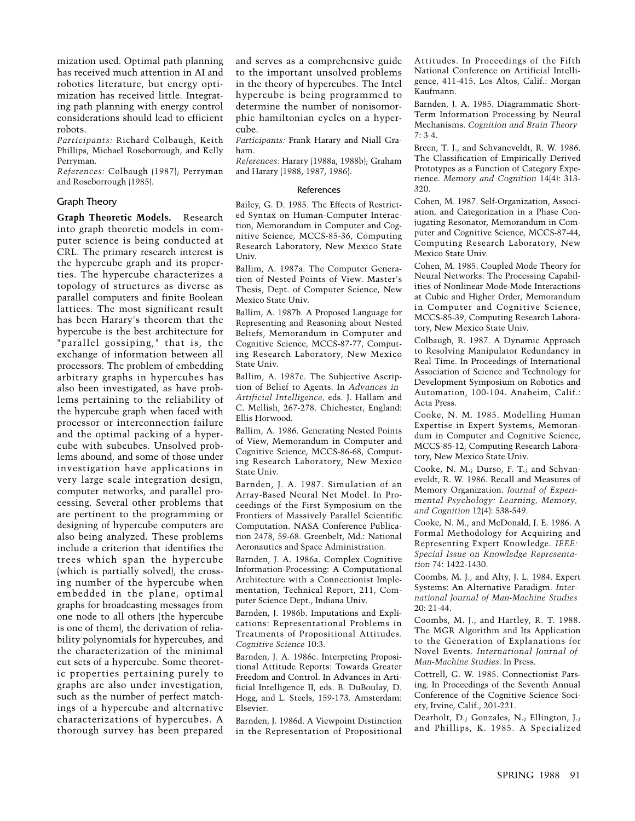mization used. Optimal path planning has received much attention in AI and robotics literature, but energy optimization has received little. Integrating path planning with energy control considerations should lead to efficient robots.

*Participants:* Richard Colbaugh, Keith Phillips, Michael Roseborrough, and Kelly Perryman.

*References:* Colbaugh (1987); Perryman and Roseborrough (1985).

#### Graph Theory

**Graph Theoretic Models.** Research into graph theoretic models in computer science is being conducted at CRL. The primary research interest is the hypercube graph and its properties. The hypercube characterizes a topology of structures as diverse as parallel computers and finite Boolean lattices. The most significant result has been Harary's theorem that the hypercube is the best architecture for "parallel gossiping," that is, the exchange of information between all processors. The problem of embedding arbitrary graphs in hypercubes has also been investigated, as have problems pertaining to the reliability of the hypercube graph when faced with processor or interconnection failure and the optimal packing of a hypercube with subcubes. Unsolved problems abound, and some of those under investigation have applications in very large scale integration design, computer networks, and parallel processing. Several other problems that are pertinent to the programming or designing of hypercube computers are also being analyzed. These problems include a criterion that identifies the trees which span the hypercube (which is partially solved), the crossing number of the hypercube when embedded in the plane, optimal graphs for broadcasting messages from one node to all others (the hypercube is one of them), the derivation of reliability polynomials for hypercubes, and the characterization of the minimal cut sets of a hypercube. Some theoretic properties pertaining purely to graphs are also under investigation, such as the number of perfect matchings of a hypercube and alternative characterizations of hypercubes. A thorough survey has been prepared and serves as a comprehensive guide to the important unsolved problems in the theory of hypercubes. The Intel hypercube is being programmed to determine the number of nonisomorphic hamiltonian cycles on a hypercube.

*Participants:* Frank Harary and Niall Graham.

*References:* Harary (1988a, 1988b); Graham and Harary (1988, 1987, 1986).

#### References

Bailey, G. D. 1985. The Effects of Restricted Syntax on Human-Computer Interaction, Memorandum in Computer and Cognitive Science, MCCS-85-36, Computing Research Laboratory, New Mexico State Univ.

Ballim, A. 1987a. The Computer Generation of Nested Points of View. Master's Thesis, Dept. of Computer Science, New Mexico State Univ.

Ballim, A. 1987b. A Proposed Language for Representing and Reasoning about Nested Beliefs, Memorandum in Computer and Cognitive Science, MCCS-87-77, Computing Research Laboratory, New Mexico State Univ.

Ballim, A. 1987c. The Subjective Ascription of Belief to Agents. In *Advances in Artificial Intelligence,* eds. J. Hallam and C. Mellish, 267-278. Chichester, England: Ellis Horwood.

Ballim, A. 1986. Generating Nested Points of View, Memorandum in Computer and Cognitive Science, MCCS-86-68, Computing Research Laboratory, New Mexico State Univ.

Barnden, J. A. 1987. Simulation of an Array-Based Neural Net Model. In Proceedings of the First Symposium on the Frontiers of Massively Parallel Scientific Computation. NASA Conference Publication 2478, 59-68. Greenbelt, Md.: National Aeronautics and Space Administration.

Barnden, J. A. 1986a. Complex Cognitive Information-Processing: A Computational Architecture with a Connectionist Implementation, Technical Report, 211, Computer Science Dept., Indiana Univ.

Barnden, J. 1986b. Imputations and Explications: Representational Problems in Treatments of Propositional Attitudes. *Cognitive Science* 10:3.

Barnden, J. A. 1986c. Interpreting Propositional Attitude Reports: Towards Greater Freedom and Control. In Advances in Artificial Intelligence II, eds. B. DuBoulay, D. Hogg, and L. Steels, 159-173. Amsterdam: Elsevier.

Barnden, J. 1986d. A Viewpoint Distinction in the Representation of Propositional

Attitudes. In Proceedings of the Fifth National Conference on Artificial Intelligence, 411-415. Los Altos, Calif.: Morgan Kaufmann.

Barnden, J. A. 1985. Diagrammatic Short-Term Information Processing by Neural Mechanisms. *Cognition and Brain Theory* 7: 3-4.

Breen, T. J., and Schvaneveldt, R. W. 1986. The Classification of Empirically Derived Prototypes as a Function of Category Experience. *Memory and Cognition* 14(4): 313- 320.

Cohen, M. 1987. Self-Organization, Association, and Categorization in a Phase Conjugating Resonator, Memorandum in Computer and Cognitive Science, MCCS-87-44, Computing Research Laboratory, New Mexico State Univ.

Cohen, M. 1985. Coupled Mode Theory for Neural Networks: The Processing Capabilities of Nonlinear Mode-Mode Interactions at Cubic and Higher Order, Memorandum in Computer and Cognitive Science, MCCS-85-39, Computing Research Laboratory, New Mexico State Univ.

Colbaugh, R. 1987. A Dynamic Approach to Resolving Manipulator Redundancy in Real Time. In Proceedings of International Association of Science and Technology for Development Symposium on Robotics and Automation, 100-104. Anaheim, Calif.: Acta Press.

Cooke, N. M. 1985. Modelling Human Expertise in Expert Systems, Memorandum in Computer and Cognitive Science, MCCS-85-12, Computing Research Laboratory, New Mexico State Univ.

Cooke, N. M.; Durso, F. T.; and Schvaneveldt, R. W. 1986. Recall and Measures of Memory Organization. *Journal of Experimental Psychology: Learning, Memory, and Cognition* 12(4): 538-549.

Cooke, N. M., and McDonald, J. E. 1986. A Formal Methodology for Acquiring and Representing Expert Knowledge. *IEEE: Special Issue on Knowledge Representation* 74: 1422-1430.

Coombs, M. J., and Alty, J. L. 1984. Expert Systems: An Alternative Paradigm. *International Journal of Man-Machine Studies* 20: 21-44.

Coombs, M. J., and Hartley, R. T. 1988. The MGR Algorithm and Its Application to the Generation of Explanations for Novel Events. *International Journal of Man-Machine Studies*. In Press.

Cottrell, G. W. 1985. Connectionist Parsing. In Proceedings of the Seventh Annual Conference of the Cognitive Science Society, Irvine, Calif., 201-221.

Dearholt, D.; Gonzales, N.; Ellington, J.; and Phillips, K. 1985. A Specialized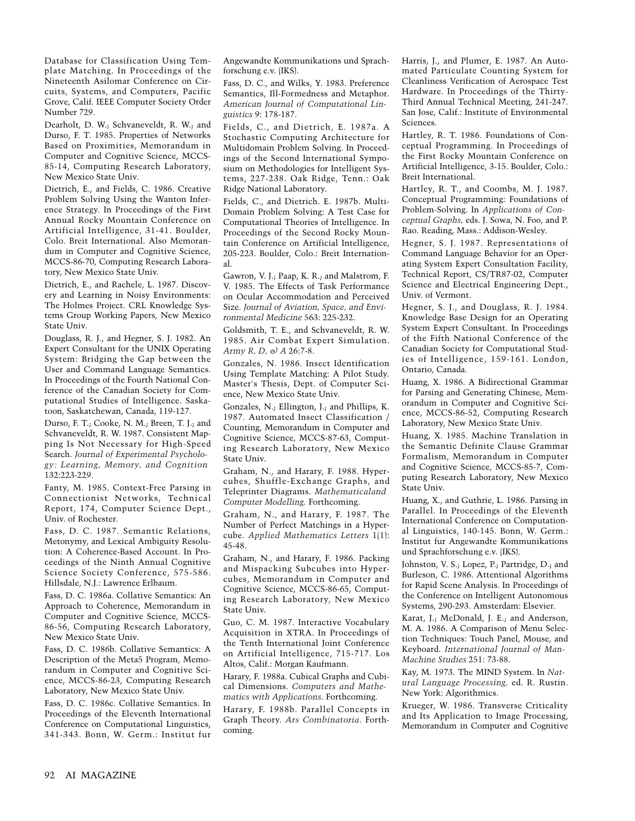Database for Classification Using Template Matching. In Proceedings of the Nineteenth Asilomar Conference on Circuits, Systems, and Computers, Pacific Grove, Calif. IEEE Computer Society Order Number 729.

Dearholt, D. W.; Schvaneveldt, R. W.; and Durso, F. T. 1985. Properties of Networks Based on Proximities, Memorandum in Computer and Cognitive Science, MCCS-85-14, Computing Research Laboratory, New Mexico State Univ.

Dietrich, E., and Fields, C. 1986. Creative Problem Solving Using the Wanton Inference Strategy. In Proceedings of the First Annual Rocky Mountain Conference on Artificial Intelligence, 31-41. Boulder, Colo. Breit International. Also Memorandum in Computer and Cognitive Science, MCCS-86-70, Computing Research Laboratory, New Mexico State Univ.

Dietrich, E., and Rachele, L. 1987. Discovery and Learning in Noisy Environments: The Holmes Project. CRL Knowledge Systems Group Working Papers, New Mexico State Univ.

Douglass, R. J., and Hegner, S. J. 1982. An Expert Consultant for the UNIX Operating System: Bridging the Gap between the User and Command Language Semantics. In Proceedings of the Fourth National Conference of the Canadian Society for Computational Studies of Intelligence. Saskatoon, Saskatchewan, Canada, 119-127.

Durso, F. T.; Cooke, N. M.; Breen, T. J.; and Schvaneveldt, R. W. 1987. Consistent Mapping Is Not Necessary for High-Speed Search. *Journal of Experimental Psychology: Learning, Memory, and Cognition* 132:223-229.

Fanty, M. 1985. Context-Free Parsing in Connectionist Networks, Technical Report, 174, Computer Science Dept., Univ. of Rochester.

Fass, D. C. 1987. Semantic Relations, Metonymy, and Lexical Ambiguity Resolution: A Coherence-Based Account. In Proceedings of the Ninth Annual Cognitive Science Society Conference, 575-586. Hillsdale, N.J.: Lawrence Erlbaum.

Fass, D. C. 1986a. Collative Semantics: An Approach to Coherence, Memorandum in Computer and Cognitive Science, MCCS-86-56, Computing Research Laboratory, New Mexico State Univ.

Fass, D. C. 1986b. Collative Semantics: A Description of the Meta5 Program, Memorandum in Computer and Cognitive Science, MCCS-86-23, Computing Research Laboratory, New Mexico State Univ.

Fass, D. C. 1986c. Collative Semantics. In Proceedings of the Eleventh International Conference on Computational Linguistics, 341-343. Bonn, W. Germ.: Institut fur

Angewandte Kommunikations und Sprachforschung e.v. (IKS).

Fass, D. C., and Wilks, Y. 1983. Preference Semantics, Ill-Formedness and Metaphor. *American Journal of Computational Linguistics* 9: 178-187.

Fields, C., and Dietrich, E. 1987a. A Stochastic Computing Architecture for Multidomain Problem Solving. In Proceedings of the Second International Symposium on Methodologies for Intelligent Systems, 227-238. Oak Ridge, Tenn.: Oak Ridge National Laboratory.

Fields, C., and Dietrich. E. 1987b. Multi-Domain Problem Solving: A Test Case for Computational Theories of Intelligence. In Proceedings of the Second Rocky Mountain Conference on Artificial Intelligence, 205-223. Boulder, Colo.: Breit International.

Gawron, V. J.; Paap, K. R.; and Malstrom, F. V. 1985. The Effects of Task Performance on Ocular Accommodation and Perceived Size. *Journal of Aviation, Space, and Environmental Medicine* 563: 225-232.

Goldsmith, T. E., and Schvaneveldt, R. W. 1985. Air Combat Expert Simulation. *Army R, D, & A* 26:7-8.

Gonzales, N. 1986. Insect Identification Using Template Matching: A Pilot Study. Master's Thesis, Dept. of Computer Science, New Mexico State Univ.

Gonzales, N.; Ellington, J.; and Phillips, K. 1987. Automated Insect Classification / Counting, Memorandum in Computer and Cognitive Science, MCCS-87-63, Computing Research Laboratory, New Mexico State Univ.

Graham, N., and Harary, F. 1988. Hypercubes, Shuffle-Exchange Graphs, and Teleprinter Diagrams. *Mathematicaland Computer Modelling.* Forthcoming.

Graham, N., and Harary, F. 1987. The Number of Perfect Matchings in a Hypercube. *Applied Mathematics Letters* 1(1): 45-48.

Graham, N., and Harary, F. 1986. Packing and Mispacking Subcubes into Hypercubes, Memorandum in Computer and Cognitive Science, MCCS-86-65, Computing Research Laboratory, New Mexico State Univ.

Guo, C. M. 1987. Interactive Vocabulary Acquisition in XTRA. In Proceedings of the Tenth International Joint Conference on Artificial Intelligence, 715-717. Los Altos, Calif.: Morgan Kaufmann.

Harary, F. 1988a. Cubical Graphs and Cubical Dimensions. *Computers and Mathematics with Applications*. Forthcoming.

Harary, F. 1988b. Parallel Concepts in Graph Theory. *Ars Combinatoria*. Forthcoming.

Harris, J., and Plumer, E. 1987. An Automated Particulate Counting System for Cleanliness Verification of Aerospace Test Hardware. In Proceedings of the Thirty-Third Annual Technical Meeting, 241-247. San Jose, Calif.: Institute of Environmental Sciences.

Hartley, R. T. 1986. Foundations of Conceptual Programming. In Proceedings of the First Rocky Mountain Conference on Artificial Intelligence, 3-15. Boulder, Colo.: Breit International.

Hartley, R. T., and Coombs, M. J. 1987. Conceptual Programming: Foundations of Problem-Solving. In *Applications of Conceptual Graphs,* eds. J. Sowa, N. Foo, and P. Rao. Reading, Mass.: Addison-Wesley.

Hegner, S. J. 1987. Representations of Command Language Behavior for an Operating System Expert Consultation Facility, Technical Report, CS/TR87-02, Computer Science and Electrical Engineering Dept., Univ. of Vermont.

Hegner, S. J., and Douglass, R. J. 1984. Knowledge Base Design for an Operating System Expert Consultant. In Proceedings of the Fifth National Conference of the Canadian Society for Computational Studies of Intelligence, 159-161. London, Ontario, Canada.

Huang, X. 1986. A Bidirectional Grammar for Parsing and Generating Chinese, Memorandum in Computer and Cognitive Science, MCCS-86-52, Computing Research Laboratory, New Mexico State Univ.

Huang, X. 1985. Machine Translation in the Semantic Definite Clause Grammar Formalism, Memorandum in Computer and Cognitive Science, MCCS-85-7, Computing Research Laboratory, New Mexico State Univ.

Huang, X., and Guthrie, L. 1986. Parsing in Parallel. In Proceedings of the Eleventh International Conference on Computational Linguistics, 140-145. Bonn, W. Germ.: Institut fur Angewandte Kommunikations und Sprachforschung e.v. (IKS).

Johnston, V. S.; Lopez, P.; Partridge, D.; and Burleson, C. 1986. Attentional Algorithms for Rapid Scene Analysis. In Proceedings of the Conference on Intelligent Autonomous Systems, 290-293. Amsterdam: Elsevier.

Karat, J.; McDonald, J. E.; and Anderson, M. A. 1986. A Comparison of Menu Selection Techniques: Touch Panel, Mouse, and Keyboard. *International Journal of Man-Machine Studies* 251: 73-88.

Kay, M. 1973. The MIND System. In *Natural Language Processing,* ed. R. Rustin. New York: Algorithmics.

Krueger, W. 1986. Transverse Criticality and Its Application to Image Processing, Memorandum in Computer and Cognitive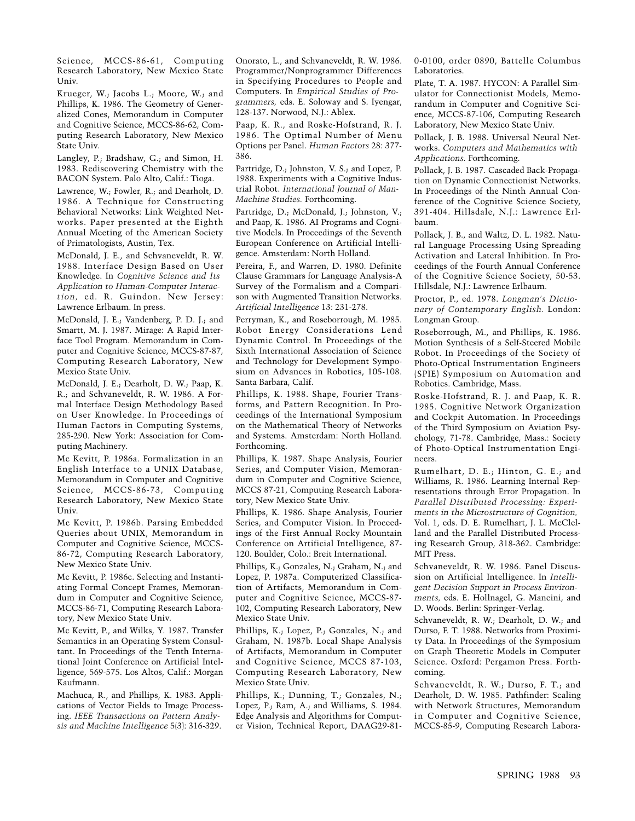Science, MCCS-86-61, Computing Research Laboratory, New Mexico State Univ.

Krueger, W.; Jacobs L.; Moore, W.; and Phillips, K. 1986. The Geometry of Generalized Cones, Memorandum in Computer and Cognitive Science, MCCS-86-62, Computing Research Laboratory, New Mexico State Univ.

Langley, P.; Bradshaw, G.; and Simon, H. 1983. Rediscovering Chemistry with the BACON System. Palo Alto, Calif.: Tioga.

Lawrence, W.; Fowler, R.; and Dearholt, D. 1986. A Technique for Constructing Behavioral Networks: Link Weighted Networks. Paper presented at the Eighth Annual Meeting of the American Society of Primatologists, Austin, Tex.

McDonald, J. E., and Schvaneveldt, R. W. 1988. Interface Design Based on User Knowledge. In *Cognitive Science and Its Application to Human-Computer Interaction,* ed. R. Guindon. New Jersey: Lawrence Erlbaum. In press.

McDonald, J. E.; Vandenberg, P. D. J.; and Smartt, M. J. 1987. Mirage: A Rapid Interface Tool Program. Memorandum in Computer and Cognitive Science, MCCS-87-87, Computing Research Laboratory, New Mexico State Univ.

McDonald, J. E.; Dearholt, D. W.; Paap, K. R.; and Schvaneveldt, R. W. 1986. A Formal Interface Design Methodology Based on User Knowledge. In Proceedings of Human Factors in Computing Systems, 285-290. New York: Association for Computing Machinery.

Mc Kevitt, P. 1986a. Formalization in an English Interface to a UNIX Database, Memorandum in Computer and Cognitive Science, MCCS-86-73, Computing Research Laboratory, New Mexico State Univ.

Mc Kevitt, P. 1986b. Parsing Embedded Queries about UNIX, Memorandum in Computer and Cognitive Science, MCCS-86-72, Computing Research Laboratory, New Mexico State Univ.

Mc Kevitt, P. 1986c. Selecting and Instantiating Formal Concept Frames, Memorandum in Computer and Cognitive Science, MCCS-86-71, Computing Research Laboratory, New Mexico State Univ.

Mc Kevitt, P., and Wilks, Y. 1987. Transfer Semantics in an Operating System Consultant. In Proceedings of the Tenth International Joint Conference on Artificial Intelligence, 569-575. Los Altos, Calif.: Morgan Kaufmann.

Machuca, R., and Phillips, K. 1983. Applications of Vector Fields to Image Processing. *IEEE Transactions on Pattern Analysis and Machine Intelligence* 5(3): 316-329.

Onorato, L., and Schvaneveldt, R. W. 1986. Programmer/Nonprogrammer Differences in Specifying Procedures to People and Computers. In *Empirical Studies of Programmers,* eds. E. Soloway and S. Iyengar, 128-137. Norwood, N.J.: Ablex.

Paap, K. R., and Roske-Hofstrand, R. J. 1986. The Optimal Number of Menu Options per Panel. *Human Factors* 28: 377- 386.

Partridge, D.; Johnston, V. S.; and Lopez, P. 1988. Experiments with a Cognitive Industrial Robot. *International Journal of Man-Machine Studies.* Forthcoming.

Partridge, D.; McDonald, J.; Johnston, V.; and Paap, K. 1986. AI Programs and Cognitive Models. In Proceedings of the Seventh European Conference on Artificial Intelligence. Amsterdam: North Holland.

Pereira, F., and Warren, D. 1980. Definite Clause Grammars for Language Analysis-A Survey of the Formalism and a Comparison with Augmented Transition Networks. *Artificial Intelligence* 13: 231-278.

Perryman, K., and Roseborrough, M. 1985. Robot Energy Considerations Lend Dynamic Control. In Proceedings of the Sixth International Association of Science and Technology for Development Symposium on Advances in Robotics, 105-108. Santa Barbara, Calif.

Phillips, K. 1988. Shape, Fourier Transforms, and Pattern Recognition. In Proceedings of the International Symposium on the Mathematical Theory of Networks and Systems. Amsterdam: North Holland. Forthcoming.

Phillips, K. 1987. Shape Analysis, Fourier Series, and Computer Vision, Memorandum in Computer and Cognitive Science, MCCS 87-21, Computing Research Laboratory, New Mexico State Univ.

Phillips, K. 1986. Shape Analysis, Fourier Series, and Computer Vision. In Proceedings of the First Annual Rocky Mountain Conference on Artificial Intelligence, 87- 120. Boulder, Colo.: Breit International.

Phillips, K.; Gonzales, N.; Graham, N.; and Lopez, P. 1987a. Computerized Classification of Artifacts, Memorandum in Computer and Cognitive Science, MCCS-87- 102, Computing Research Laboratory, New Mexico State Univ.

Phillips, K.; Lopez, P.; Gonzales, N.; and Graham, N. 1987b. Local Shape Analysis of Artifacts, Memorandum in Computer and Cognitive Science, MCCS 87-103, Computing Research Laboratory, New Mexico State Univ.

Phillips, K.; Dunning, T.; Gonzales, N.; Lopez, P.; Ram, A.; and Williams, S. 1984. Edge Analysis and Algorithms for Computer Vision, Technical Report, DAAG29-810-0100, order 0890, Battelle Columbus Laboratories.

Plate, T. A. 1987. HYCON: A Parallel Simulator for Connectionist Models, Memorandum in Computer and Cognitive Science, MCCS-87-106, Computing Research Laboratory, New Mexico State Univ.

Pollack, J. B. 1988. Universal Neural Networks. *Computers and Mathematics with Applications.* Forthcoming.

Pollack, J. B. 1987. Cascaded Back-Propagation on Dynamic Connectionist Networks. In Proceedings of the Ninth Annual Conference of the Cognitive Science Society, 391-404. Hillsdale, N.J.: Lawrence Erlbaum.

Pollack, J. B., and Waltz, D. L. 1982. Natural Language Processing Using Spreading Activation and Lateral Inhibition. In Proceedings of the Fourth Annual Conference of the Cognitive Science Society, 50-53. Hillsdale, N.J.: Lawrence Erlbaum.

Proctor, P., ed. 1978. *Longman's Dictionary of Contemporary English.* London: Longman Group.

Roseborrough, M., and Phillips, K. 1986. Motion Synthesis of a Self-Steered Mobile Robot. In Proceedings of the Society of Photo-Optical Instrumentation Engineers (SPIE) Symposium on Automation and Robotics. Cambridge, Mass.

Roske-Hofstrand, R. J. and Paap, K. R. 1985. Cognitive Network Organization and Cockpit Automation. In Proceedings of the Third Symposium on Aviation Psychology, 71-78. Cambridge, Mass.: Society of Photo-Optical Instrumentation Engineers.

Rumelhart, D. E.; Hinton, G. E.; and Williams, R. 1986. Learning Internal Representations through Error Propagation. In *Parallel Distributed Processing: Experiments in the Microstructure of Cognition,* Vol. 1, eds. D. E. Rumelhart, J. L. McClelland and the Parallel Distributed Processing Research Group, 318-362. Cambridge: MIT Press.

Schvaneveldt, R. W. 1986. Panel Discussion on Artificial Intelligence. In *Intelligent Decision Support in Process Environments,* eds. E. Hollnagel, G. Mancini, and D. Woods. Berlin: Springer-Verlag.

Schvaneveldt, R. W.; Dearholt, D. W.; and Durso, F. T. 1988. Networks from Proximity Data. In Proceedings of the Symposium on Graph Theoretic Models in Computer Science. Oxford: Pergamon Press. Forthcoming.

Schvaneveldt, R. W.; Durso, F. T.; and Dearholt, D. W. 1985. Pathfinder: Scaling with Network Structures, Memorandum in Computer and Cognitive Science, MCCS-85-9, Computing Research Labora